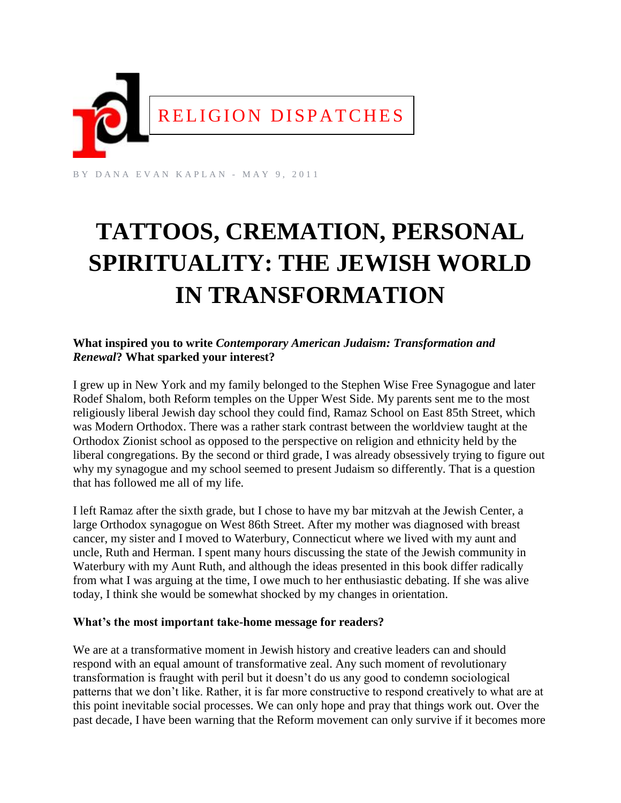

BY DANA EVAN KAPLAN - MAY 9, 2011

# **TATTOOS, CREMATION, PERSONAL SPIRITUALITY: THE JEWISH WORLD IN TRANSFORMATION**

## **What inspired you to write** *Contemporary American Judaism: Transformation and Renewal***? What sparked your interest?**

I grew up in New York and my family belonged to the Stephen Wise Free Synagogue and later Rodef Shalom, both Reform temples on the Upper West Side. My parents sent me to the most religiously liberal Jewish day school they could find, Ramaz School on East 85th Street, which was Modern Orthodox. There was a rather stark contrast between the worldview taught at the Orthodox Zionist school as opposed to the perspective on religion and ethnicity held by the liberal congregations. By the second or third grade, I was already obsessively trying to figure out why my synagogue and my school seemed to present Judaism so differently. That is a question that has followed me all of my life.

I left Ramaz after the sixth grade, but I chose to have my bar mitzvah at the Jewish Center, a large Orthodox synagogue on West 86th Street. After my mother was diagnosed with breast cancer, my sister and I moved to Waterbury, Connecticut where we lived with my aunt and uncle, Ruth and Herman. I spent many hours discussing the state of the Jewish community in Waterbury with my Aunt Ruth, and although the ideas presented in this book differ radically from what I was arguing at the time, I owe much to her enthusiastic debating. If she was alive today, I think she would be somewhat shocked by my changes in orientation.

#### **What's the most important take-home message for readers?**

We are at a transformative moment in Jewish history and creative leaders can and should respond with an equal amount of transformative zeal. Any such moment of revolutionary transformation is fraught with peril but it doesn't do us any good to condemn sociological patterns that we don't like. Rather, it is far more constructive to respond creatively to what are at this point inevitable social processes. We can only hope and pray that things work out. Over the past decade, I have been warning that the Reform movement can only survive if it becomes more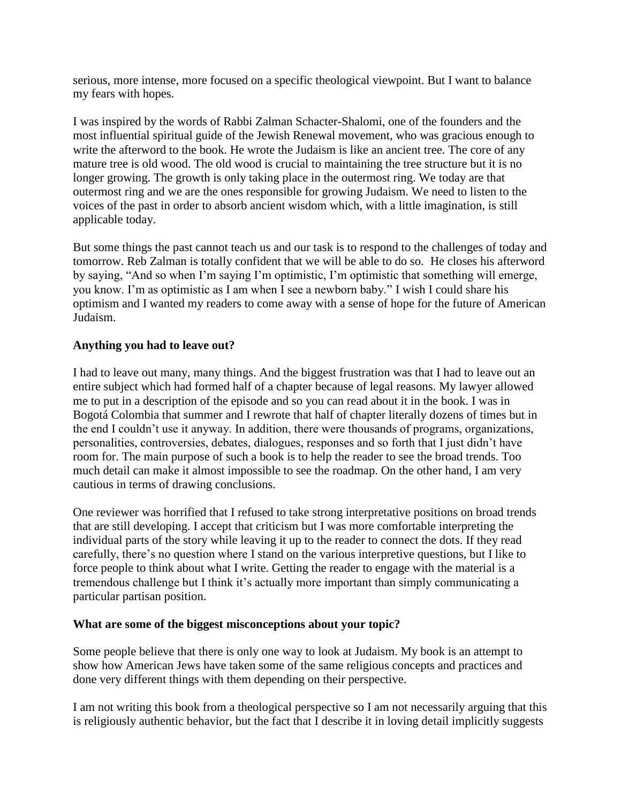serious, more intense, more focused on a specific theological viewpoint. But I want to balance my fears with hopes.

I was inspired by the words of Rabbi Zalman Schacter-Shalomi, one of the founders and the most influential spiritual guide of the Jewish Renewal movement, who was gracious enough to write the afterword to the book. He wrote the Judaism is like an ancient tree. The core of any mature tree is old wood. The old wood is crucial to maintaining the tree structure but it is no longer growing. The growth is only taking place in the outermost ring. We today are that outermost ring and we are the ones responsible for growing Judaism. We need to listen to the voices of the past in order to absorb ancient wisdom which, with a little imagination, is still applicable today.

But some things the past cannot teach us and our task is to respond to the challenges of today and tomorrow. Reb Zalman is totally confident that we will be able to do so. He closes his afterword by saying, "And so when I'm saying I'm optimistic, I'm optimistic that something will emerge, you know. I'm as optimistic as I am when I see a newborn baby." I wish I could share his optimism and I wanted my readers to come away with a sense of hope for the future of American Judaism.

## **Anything you had to leave out?**

I had to leave out many, many things. And the biggest frustration was that I had to leave out an entire subject which had formed half of a chapter because of legal reasons. My lawyer allowed me to put in a description of the episode and so you can read about it in the book. I was in Bogotá Colombia that summer and I rewrote that half of chapter literally dozens of times but in the end I couldn't use it anyway. In addition, there were thousands of programs, organizations, personalities, controversies, debates, dialogues, responses and so forth that I just didn't have room for. The main purpose of such a book is to help the reader to see the broad trends. Too much detail can make it almost impossible to see the roadmap. On the other hand, I am very cautious in terms of drawing conclusions.

One reviewer was horrified that I refused to take strong interpretative positions on broad trends that are still developing. I accept that criticism but I was more comfortable interpreting the individual parts of the story while leaving it up to the reader to connect the dots. If they read carefully, there's no question where I stand on the various interpretive questions, but I like to force people to think about what I write. Getting the reader to engage with the material is a tremendous challenge but I think it's actually more important than simply communicating a particular partisan position.

#### **What are some of the biggest misconceptions about your topic?**

Some people believe that there is only one way to look at Judaism. My book is an attempt to show how American Jews have taken some of the same religious concepts and practices and done very different things with them depending on their perspective.

I am not writing this book from a theological perspective so I am not necessarily arguing that this is religiously authentic behavior, but the fact that I describe it in loving detail implicitly suggests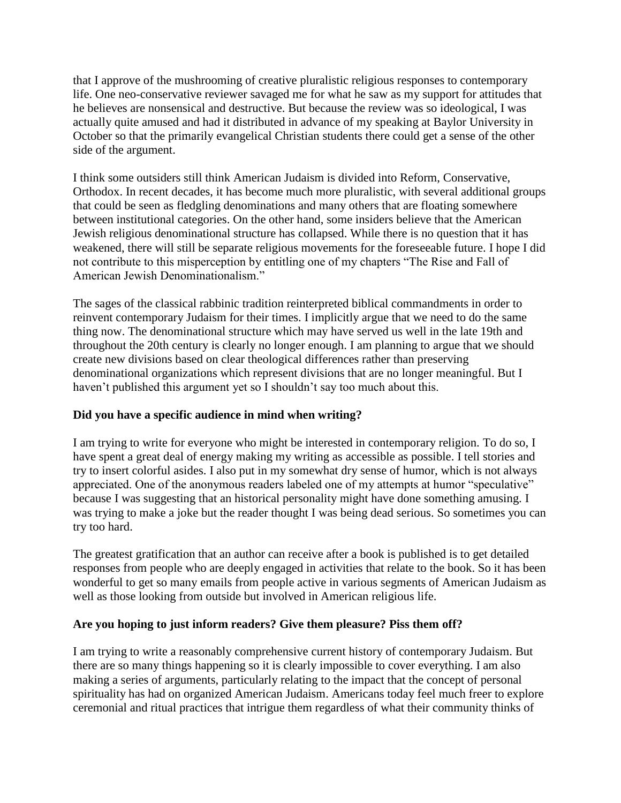that I approve of the mushrooming of creative pluralistic religious responses to contemporary life. One neo-conservative reviewer savaged me for what he saw as my support for attitudes that he believes are nonsensical and destructive. But because the review was so ideological, I was actually quite amused and had it distributed in advance of my speaking at Baylor University in October so that the primarily evangelical Christian students there could get a sense of the other side of the argument.

I think some outsiders still think American Judaism is divided into Reform, Conservative, Orthodox. In recent decades, it has become much more pluralistic, with several additional groups that could be seen as fledgling denominations and many others that are floating somewhere between institutional categories. On the other hand, some insiders believe that the American Jewish religious denominational structure has collapsed. While there is no question that it has weakened, there will still be separate religious movements for the foreseeable future. I hope I did not contribute to this misperception by entitling one of my chapters "The Rise and Fall of American Jewish Denominationalism."

The sages of the classical rabbinic tradition reinterpreted biblical commandments in order to reinvent contemporary Judaism for their times. I implicitly argue that we need to do the same thing now. The denominational structure which may have served us well in the late 19th and throughout the 20th century is clearly no longer enough. I am planning to argue that we should create new divisions based on clear theological differences rather than preserving denominational organizations which represent divisions that are no longer meaningful. But I haven't published this argument yet so I shouldn't say too much about this.

# **Did you have a specific audience in mind when writing?**

I am trying to write for everyone who might be interested in contemporary religion. To do so, I have spent a great deal of energy making my writing as accessible as possible. I tell stories and try to insert colorful asides. I also put in my somewhat dry sense of humor, which is not always appreciated. One of the anonymous readers labeled one of my attempts at humor "speculative" because I was suggesting that an historical personality might have done something amusing. I was trying to make a joke but the reader thought I was being dead serious. So sometimes you can try too hard.

The greatest gratification that an author can receive after a book is published is to get detailed responses from people who are deeply engaged in activities that relate to the book. So it has been wonderful to get so many emails from people active in various segments of American Judaism as well as those looking from outside but involved in American religious life.

#### **Are you hoping to just inform readers? Give them pleasure? Piss them off?**

I am trying to write a reasonably comprehensive current history of contemporary Judaism. But there are so many things happening so it is clearly impossible to cover everything. I am also making a series of arguments, particularly relating to the impact that the concept of personal spirituality has had on organized American Judaism. Americans today feel much freer to explore ceremonial and ritual practices that intrigue them regardless of what their community thinks of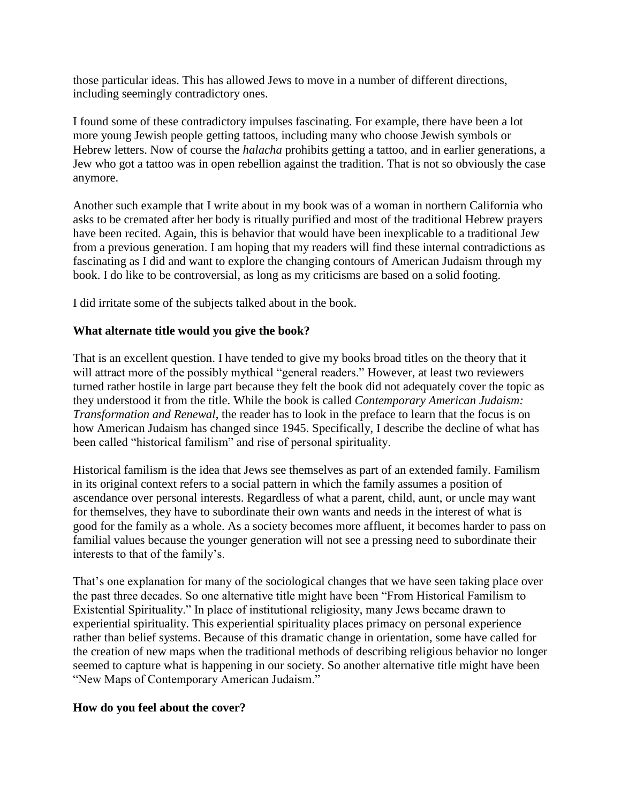those particular ideas. This has allowed Jews to move in a number of different directions, including seemingly contradictory ones.

I found some of these contradictory impulses fascinating. For example, there have been a lot more young Jewish people getting tattoos, including many who choose Jewish symbols or Hebrew letters. Now of course the *halacha* prohibits getting a tattoo, and in earlier generations, a Jew who got a tattoo was in open rebellion against the tradition. That is not so obviously the case anymore.

Another such example that I write about in my book was of a woman in northern California who asks to be cremated after her body is ritually purified and most of the traditional Hebrew prayers have been recited. Again, this is behavior that would have been inexplicable to a traditional Jew from a previous generation. I am hoping that my readers will find these internal contradictions as fascinating as I did and want to explore the changing contours of American Judaism through my book. I do like to be controversial, as long as my criticisms are based on a solid footing.

I did irritate some of the subjects talked about in the book.

## **What alternate title would you give the book?**

That is an excellent question. I have tended to give my books broad titles on the theory that it will attract more of the possibly mythical "general readers." However, at least two reviewers turned rather hostile in large part because they felt the book did not adequately cover the topic as they understood it from the title. While the book is called *Contemporary American Judaism: Transformation and Renewal*, the reader has to look in the preface to learn that the focus is on how American Judaism has changed since 1945. Specifically, I describe the decline of what has been called "historical familism" and rise of personal spirituality.

Historical familism is the idea that Jews see themselves as part of an extended family. Familism in its original context refers to a social pattern in which the family assumes a position of ascendance over personal interests. Regardless of what a parent, child, aunt, or uncle may want for themselves, they have to subordinate their own wants and needs in the interest of what is good for the family as a whole. As a society becomes more affluent, it becomes harder to pass on familial values because the younger generation will not see a pressing need to subordinate their interests to that of the family's.

That's one explanation for many of the sociological changes that we have seen taking place over the past three decades. So one alternative title might have been "From Historical Familism to Existential Spirituality." In place of institutional religiosity, many Jews became drawn to experiential spirituality. This experiential spirituality places primacy on personal experience rather than belief systems. Because of this dramatic change in orientation, some have called for the creation of new maps when the traditional methods of describing religious behavior no longer seemed to capture what is happening in our society. So another alternative title might have been "New Maps of Contemporary American Judaism."

#### **How do you feel about the cover?**